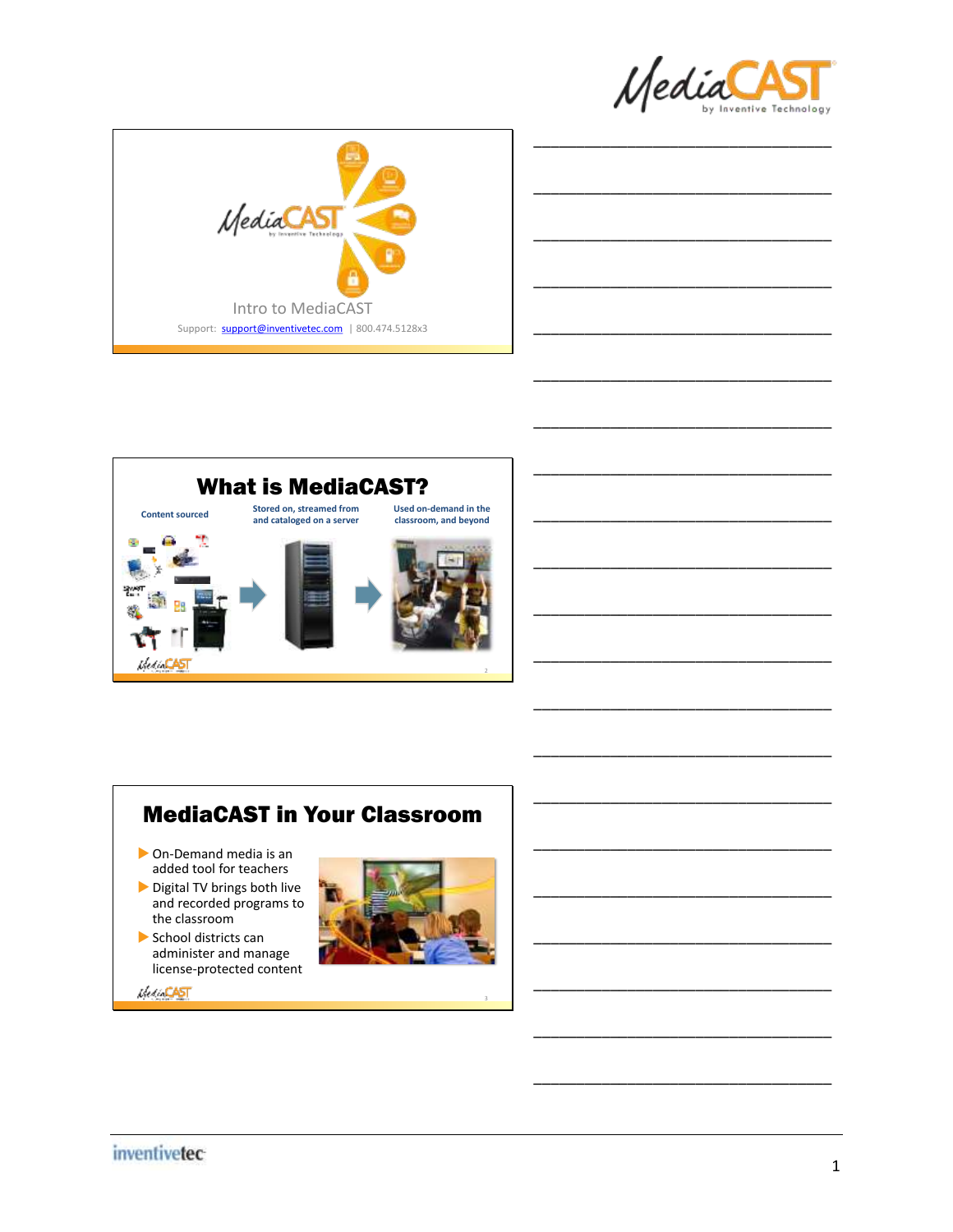

\_\_\_\_\_\_\_\_\_\_\_\_\_\_\_\_\_\_\_\_\_\_\_\_\_\_\_\_\_\_\_\_\_\_\_

\_\_\_\_\_\_\_\_\_\_\_\_\_\_\_\_\_\_\_\_\_\_\_\_\_\_\_\_\_\_\_\_\_\_\_

\_\_\_\_\_\_\_\_\_\_\_\_\_\_\_\_\_\_\_\_\_\_\_\_\_\_\_\_\_\_\_\_\_\_\_

\_\_\_\_\_\_\_\_\_\_\_\_\_\_\_\_\_\_\_\_\_\_\_\_\_\_\_\_\_\_\_\_\_\_\_

\_\_\_\_\_\_\_\_\_\_\_\_\_\_\_\_\_\_\_\_\_\_\_\_\_\_\_\_\_\_\_\_\_\_\_

\_\_\_\_\_\_\_\_\_\_\_\_\_\_\_\_\_\_\_\_\_\_\_\_\_\_\_\_\_\_\_\_\_\_\_

\_\_\_\_\_\_\_\_\_\_\_\_\_\_\_\_\_\_\_\_\_\_\_\_\_\_\_\_\_\_\_\_\_\_\_

\_\_\_\_\_\_\_\_\_\_\_\_\_\_\_\_\_\_\_\_\_\_\_\_\_\_\_\_\_\_\_\_\_\_\_

\_\_\_\_\_\_\_\_\_\_\_\_\_\_\_\_\_\_\_\_\_\_\_\_\_\_\_\_\_\_\_\_\_\_\_

\_\_\_\_\_\_\_\_\_\_\_\_\_\_\_\_\_\_\_\_\_\_\_\_\_\_\_\_\_\_\_\_\_\_\_

\_\_\_\_\_\_\_\_\_\_\_\_\_\_\_\_\_\_\_\_\_\_\_\_\_\_\_\_\_\_\_\_\_\_\_

\_\_\_\_\_\_\_\_\_\_\_\_\_\_\_\_\_\_\_\_\_\_\_\_\_\_\_\_\_\_\_\_\_\_\_

\_\_\_\_\_\_\_\_\_\_\_\_\_\_\_\_\_\_\_\_\_\_\_\_\_\_\_\_\_\_\_\_\_\_\_

\_\_\_\_\_\_\_\_\_\_\_\_\_\_\_\_\_\_\_\_\_\_\_\_\_\_\_\_\_\_\_\_\_\_\_





### MediaCAST in Your Classroom

- On-Demand media is an added tool for teachers
- Digital TV brings both live and recorded programs to the classroom
- School districts can administer and manage license-protected content



3



*MediaCAST*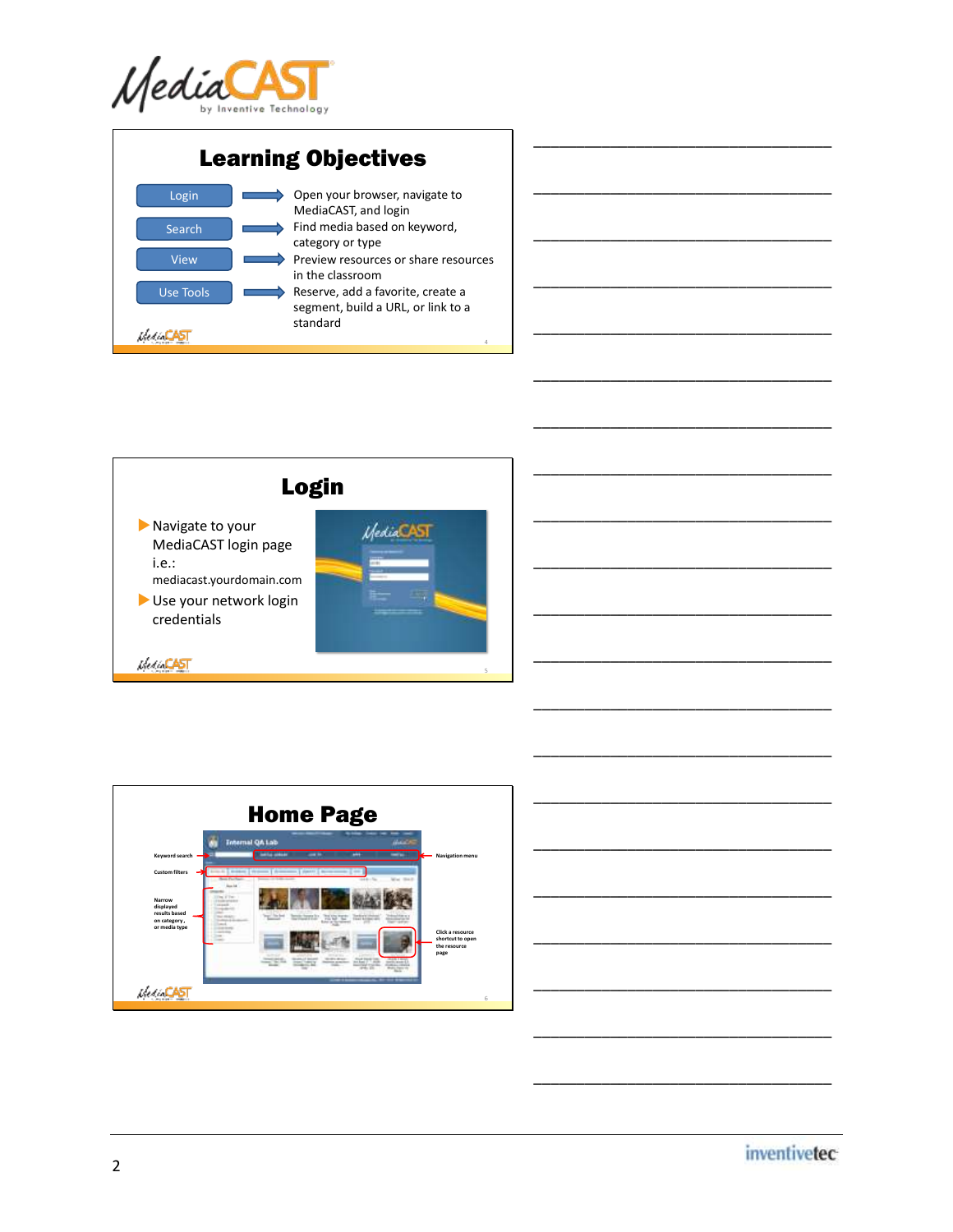









\_\_\_\_\_\_\_\_\_\_\_\_\_\_\_\_\_\_\_\_\_\_\_\_\_\_\_\_\_\_\_\_\_\_\_

\_\_\_\_\_\_\_\_\_\_\_\_\_\_\_\_\_\_\_\_\_\_\_\_\_\_\_\_\_\_\_\_\_\_\_

\_\_\_\_\_\_\_\_\_\_\_\_\_\_\_\_\_\_\_\_\_\_\_\_\_\_\_\_\_\_\_\_\_\_\_

\_\_\_\_\_\_\_\_\_\_\_\_\_\_\_\_\_\_\_\_\_\_\_\_\_\_\_\_\_\_\_\_\_\_\_

\_\_\_\_\_\_\_\_\_\_\_\_\_\_\_\_\_\_\_\_\_\_\_\_\_\_\_\_\_\_\_\_\_\_\_

\_\_\_\_\_\_\_\_\_\_\_\_\_\_\_\_\_\_\_\_\_\_\_\_\_\_\_\_\_\_\_\_\_\_\_

\_\_\_\_\_\_\_\_\_\_\_\_\_\_\_\_\_\_\_\_\_\_\_\_\_\_\_\_\_\_\_\_\_\_\_

\_\_\_\_\_\_\_\_\_\_\_\_\_\_\_\_\_\_\_\_\_\_\_\_\_\_\_\_\_\_\_\_\_\_\_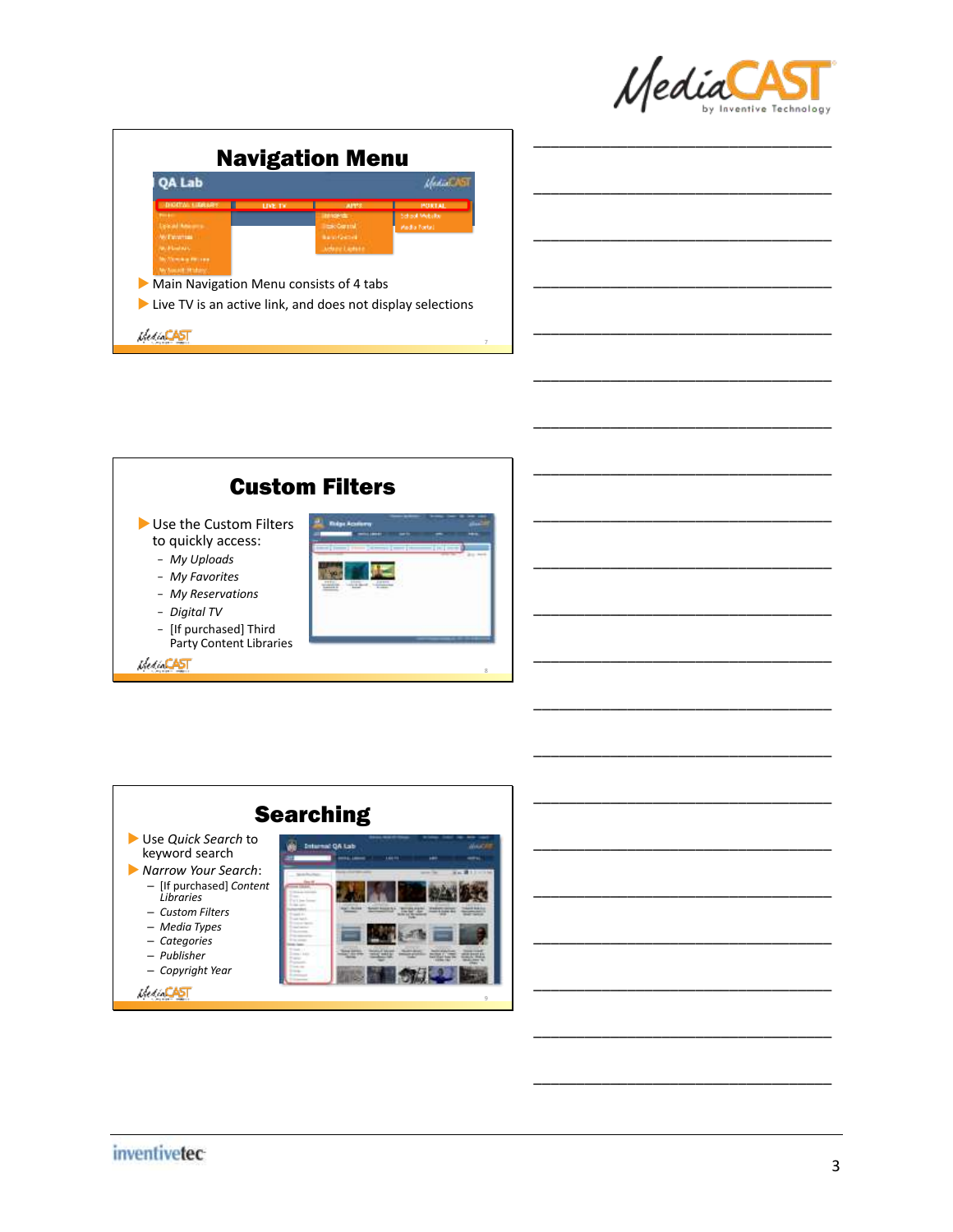

\_\_\_\_\_\_\_\_\_\_\_\_\_\_\_\_\_\_\_\_\_\_\_\_\_\_\_\_\_\_\_\_\_\_\_

\_\_\_\_\_\_\_\_\_\_\_\_\_\_\_\_\_\_\_\_\_\_\_\_\_\_\_\_\_\_\_\_\_\_\_

\_\_\_\_\_\_\_\_\_\_\_\_\_\_\_\_\_\_\_\_\_\_\_\_\_\_\_\_\_\_\_\_\_\_\_

\_\_\_\_\_\_\_\_\_\_\_\_\_\_\_\_\_\_\_\_\_\_\_\_\_\_\_\_\_\_\_\_\_\_\_

\_\_\_\_\_\_\_\_\_\_\_\_\_\_\_\_\_\_\_\_\_\_\_\_\_\_\_\_\_\_\_\_\_\_\_

\_\_\_\_\_\_\_\_\_\_\_\_\_\_\_\_\_\_\_\_\_\_\_\_\_\_\_\_\_\_\_\_\_\_\_

\_\_\_\_\_\_\_\_\_\_\_\_\_\_\_\_\_\_\_\_\_\_\_\_\_\_\_\_\_\_\_\_\_\_\_

\_\_\_\_\_\_\_\_\_\_\_\_\_\_\_\_\_\_\_\_\_\_\_\_\_\_\_\_\_\_\_\_\_\_\_

|                                                                                                                                              | <b>Navigation Menu</b> |                               |                                                         |
|----------------------------------------------------------------------------------------------------------------------------------------------|------------------------|-------------------------------|---------------------------------------------------------|
| OA Lab                                                                                                                                       |                        |                               |                                                         |
| <b>DISTRACT DRESS</b><br>$\sim$<br>gloud Masons.<br>AB/ Patromega 11<br>W. Floorers<br><b>NOTERED AT A PROTECTIVE</b><br>W. Avenue Perdany : | <b>LIVE TV</b>         | <b>SAFER</b><br>udaze Lietuta | <b>PORTAL</b><br>School Meballor<br><b>Madia Fortal</b> |
| $\triangleright$ Main Navigation Menu consists of 4 tabs<br>$\blacktriangleright$ Live TV is an active link, and does not display selections |                        |                               |                                                         |



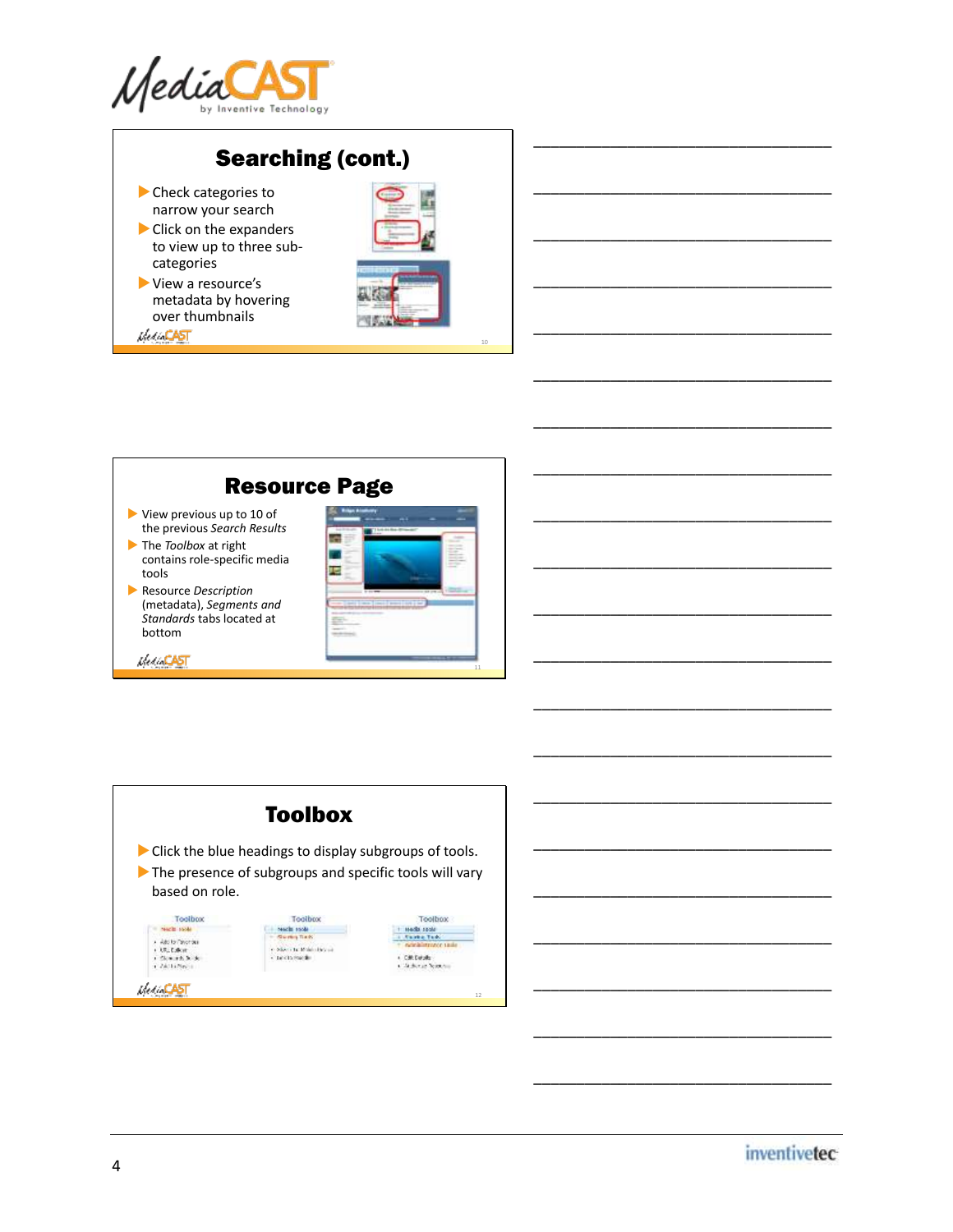

## Searching (cont.)

- Check categories to narrow your search
- Click on the expanders to view up to three subcategories
- View a resource's metadata by hovering over thumbnails<br>KecaCAST



10

\_\_\_\_\_\_\_\_\_\_\_\_\_\_\_\_\_\_\_\_\_\_\_\_\_\_\_\_\_\_\_\_\_\_\_

\_\_\_\_\_\_\_\_\_\_\_\_\_\_\_\_\_\_\_\_\_\_\_\_\_\_\_\_\_\_\_\_\_\_\_

\_\_\_\_\_\_\_\_\_\_\_\_\_\_\_\_\_\_\_\_\_\_\_\_\_\_\_\_\_\_\_\_\_\_\_

\_\_\_\_\_\_\_\_\_\_\_\_\_\_\_\_\_\_\_\_\_\_\_\_\_\_\_\_\_\_\_\_\_\_\_

\_\_\_\_\_\_\_\_\_\_\_\_\_\_\_\_\_\_\_\_\_\_\_\_\_\_\_\_\_\_\_\_\_\_\_

\_\_\_\_\_\_\_\_\_\_\_\_\_\_\_\_\_\_\_\_\_\_\_\_\_\_\_\_\_\_\_\_\_\_\_

\_\_\_\_\_\_\_\_\_\_\_\_\_\_\_\_\_\_\_\_\_\_\_\_\_\_\_\_\_\_\_\_\_\_\_

\_\_\_\_\_\_\_\_\_\_\_\_\_\_\_\_\_\_\_\_\_\_\_\_\_\_\_\_\_\_\_\_\_\_\_

\_\_\_\_\_\_\_\_\_\_\_\_\_\_\_\_\_\_\_\_\_\_\_\_\_\_\_\_\_\_\_\_\_\_\_

\_\_\_\_\_\_\_\_\_\_\_\_\_\_\_\_\_\_\_\_\_\_\_\_\_\_\_\_\_\_\_\_\_\_\_

\_\_\_\_\_\_\_\_\_\_\_\_\_\_\_\_\_\_\_\_\_\_\_\_\_\_\_\_\_\_\_\_\_\_\_

\_\_\_\_\_\_\_\_\_\_\_\_\_\_\_\_\_\_\_\_\_\_\_\_\_\_\_\_\_\_\_\_\_\_\_

\_\_\_\_\_\_\_\_\_\_\_\_\_\_\_\_\_\_\_\_\_\_\_\_\_\_\_\_\_\_\_\_\_\_\_

\_\_\_\_\_\_\_\_\_\_\_\_\_\_\_\_\_\_\_\_\_\_\_\_\_\_\_\_\_\_\_\_\_\_\_

\_\_\_\_\_\_\_\_\_\_\_\_\_\_\_\_\_\_\_\_\_\_\_\_\_\_\_\_\_\_\_\_\_\_\_

\_\_\_\_\_\_\_\_\_\_\_\_\_\_\_\_\_\_\_\_\_\_\_\_\_\_\_\_\_\_\_\_\_\_\_

\_\_\_\_\_\_\_\_\_\_\_\_\_\_\_\_\_\_\_\_\_\_\_\_\_\_\_\_\_\_\_\_\_\_\_

\_\_\_\_\_\_\_\_\_\_\_\_\_\_\_\_\_\_\_\_\_\_\_\_\_\_\_\_\_\_\_\_\_\_\_

\_\_\_\_\_\_\_\_\_\_\_\_\_\_\_\_\_\_\_\_\_\_\_\_\_\_\_\_\_\_\_\_\_\_\_

\_\_\_\_\_\_\_\_\_\_\_\_\_\_\_\_\_\_\_\_\_\_\_\_\_\_\_\_\_\_\_\_\_\_\_

\_\_\_\_\_\_\_\_\_\_\_\_\_\_\_\_\_\_\_\_\_\_\_\_\_\_\_\_\_\_\_\_\_\_\_



- View previous up to 10 of the previous *Search Results*
- The *Toolbox* at right contains role-specific media tools
- Resource *Description* (metadata), *Segments and Standards* tabs located at bottom

Merchant



|                       | <b>Toolbox</b>                                                                                                                                          |                               |
|-----------------------|---------------------------------------------------------------------------------------------------------------------------------------------------------|-------------------------------|
|                       | $\triangleright$ Click the blue headings to display subgroups of tools.<br>$\blacktriangleright$ The presence of subgroups and specific tools will vary |                               |
| based on role.        |                                                                                                                                                         |                               |
| Toolbox<br>sach sold. | Toolbox                                                                                                                                                 | Toolbox<br><b>MADEL SECRE</b> |

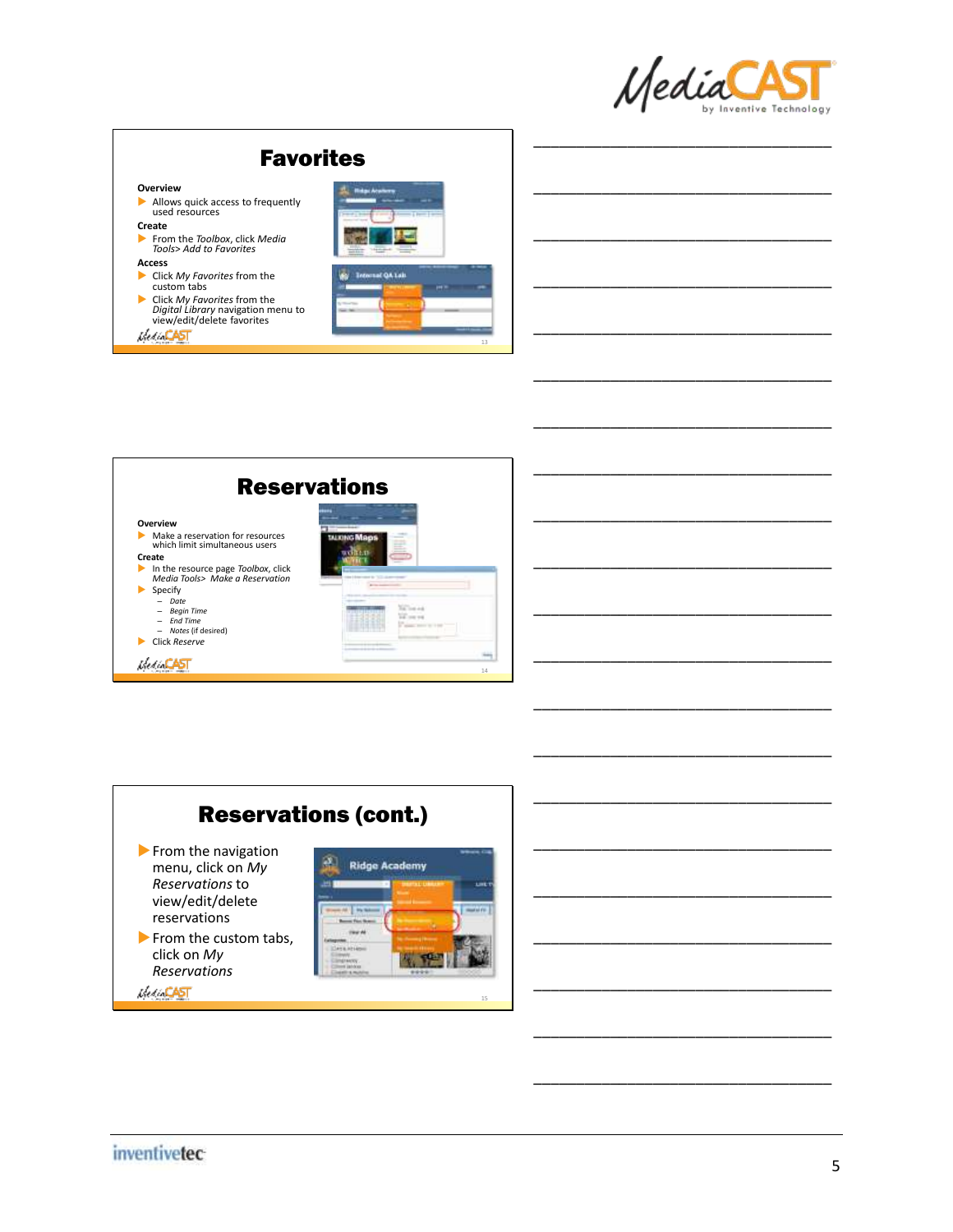

\_\_\_\_\_\_\_\_\_\_\_\_\_\_\_\_\_\_\_\_\_\_\_\_\_\_\_\_\_\_\_\_\_\_\_

\_\_\_\_\_\_\_\_\_\_\_\_\_\_\_\_\_\_\_\_\_\_\_\_\_\_\_\_\_\_\_\_\_\_\_

\_\_\_\_\_\_\_\_\_\_\_\_\_\_\_\_\_\_\_\_\_\_\_\_\_\_\_\_\_\_\_\_\_\_\_

\_\_\_\_\_\_\_\_\_\_\_\_\_\_\_\_\_\_\_\_\_\_\_\_\_\_\_\_\_\_\_\_\_\_\_

\_\_\_\_\_\_\_\_\_\_\_\_\_\_\_\_\_\_\_\_\_\_\_\_\_\_\_\_\_\_\_\_\_\_\_

\_\_\_\_\_\_\_\_\_\_\_\_\_\_\_\_\_\_\_\_\_\_\_\_\_\_\_\_\_\_\_\_\_\_\_

\_\_\_\_\_\_\_\_\_\_\_\_\_\_\_\_\_\_\_\_\_\_\_\_\_\_\_\_\_\_\_\_\_\_\_

\_\_\_\_\_\_\_\_\_\_\_\_\_\_\_\_\_\_\_\_\_\_\_\_\_\_\_\_\_\_\_\_\_\_\_

\_\_\_\_\_\_\_\_\_\_\_\_\_\_\_\_\_\_\_\_\_\_\_\_\_\_\_\_\_\_\_\_\_\_\_

\_\_\_\_\_\_\_\_\_\_\_\_\_\_\_\_\_\_\_\_\_\_\_\_\_\_\_\_\_\_\_\_\_\_\_

\_\_\_\_\_\_\_\_\_\_\_\_\_\_\_\_\_\_\_\_\_\_\_\_\_\_\_\_\_\_\_\_\_\_\_

\_\_\_\_\_\_\_\_\_\_\_\_\_\_\_\_\_\_\_\_\_\_\_\_\_\_\_\_\_\_\_\_\_\_\_

\_\_\_\_\_\_\_\_\_\_\_\_\_\_\_\_\_\_\_\_\_\_\_\_\_\_\_\_\_\_\_\_\_\_\_

\_\_\_\_\_\_\_\_\_\_\_\_\_\_\_\_\_\_\_\_\_\_\_\_\_\_\_\_\_\_\_\_\_\_\_

\_\_\_\_\_\_\_\_\_\_\_\_\_\_\_\_\_\_\_\_\_\_\_\_\_\_\_\_\_\_\_\_\_\_\_

\_\_\_\_\_\_\_\_\_\_\_\_\_\_\_\_\_\_\_\_\_\_\_\_\_\_\_\_\_\_\_\_\_\_\_

\_\_\_\_\_\_\_\_\_\_\_\_\_\_\_\_\_\_\_\_\_\_\_\_\_\_\_\_\_\_\_\_\_\_\_

\_\_\_\_\_\_\_\_\_\_\_\_\_\_\_\_\_\_\_\_\_\_\_\_\_\_\_\_\_\_\_\_\_\_\_

\_\_\_\_\_\_\_\_\_\_\_\_\_\_\_\_\_\_\_\_\_\_\_\_\_\_\_\_\_\_\_\_\_\_\_

\_\_\_\_\_\_\_\_\_\_\_\_\_\_\_\_\_\_\_\_\_\_\_\_\_\_\_\_\_\_\_\_\_\_\_

## Favorites

#### **Overview**

- Allows quick access to frequently used resources **Create**
- From the *Toolbox*, click *Media Tools*> *Add to Favorites* **Access**
- 
- Click *My Favorites* from the custom tabs
- Click *My Favorites* from the *Digital Library* navigation menu to view/edit/delete favorites **MediaCAST**





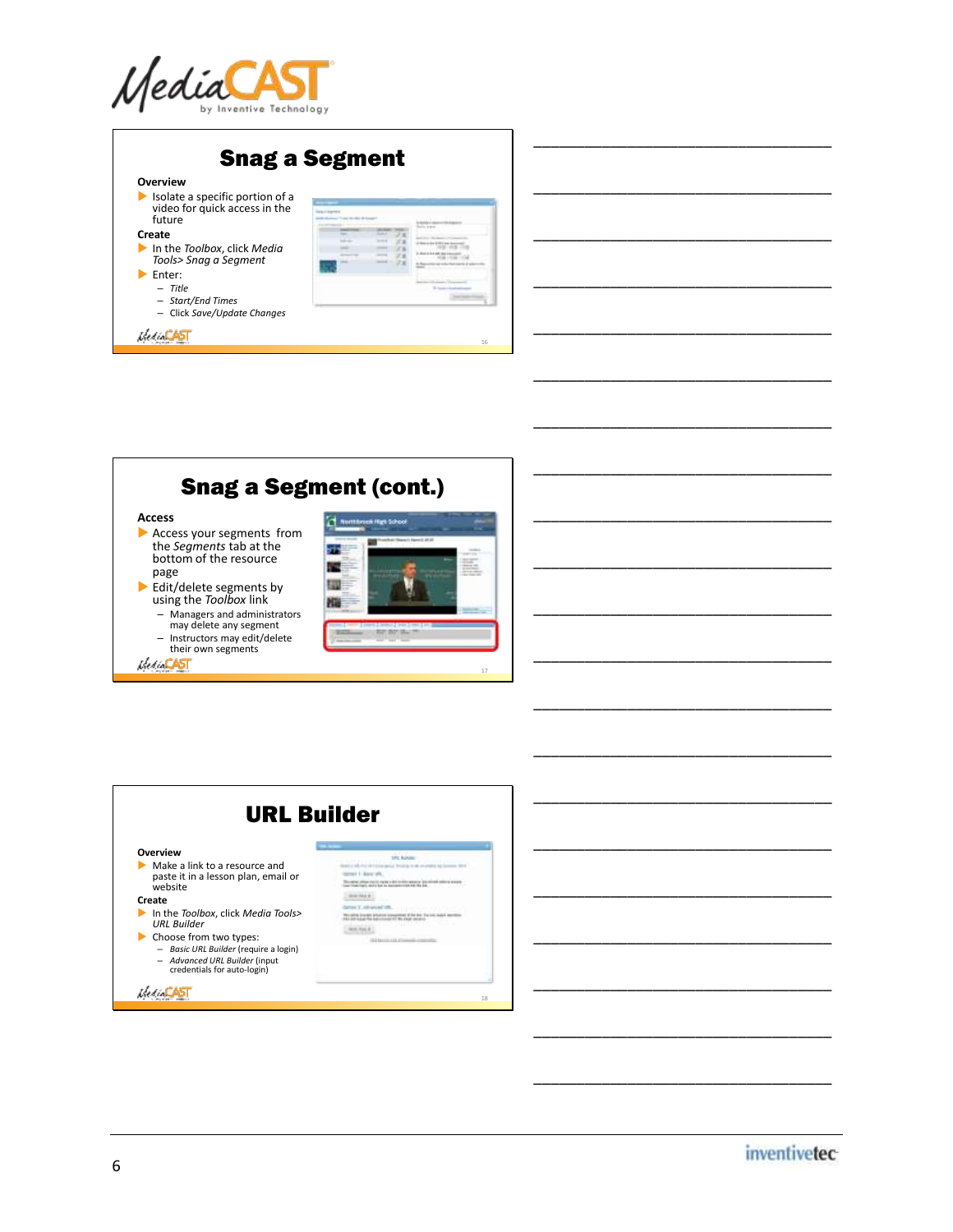

| <b>Overview</b>                                                                                  |  |
|--------------------------------------------------------------------------------------------------|--|
| $\blacktriangleright$ Isolate a specific portion of a<br>video for quick access in the<br>future |  |
| Create                                                                                           |  |
| In the Toolbox, click Media<br>Tools> Snag a Segment                                             |  |
| Enter:                                                                                           |  |
| $-$ Title                                                                                        |  |
| - Start/End Times                                                                                |  |
| - Click Save/Update Changes                                                                      |  |

## Snag a Segment (cont.)

#### **Access**

- Access your segments from the *Segments* tab at the bottom of the resource page
- Edit/delete segments by using the *Toolbox* link – Managers and administrators may delete any segment
	- Instructors may edit/delete their own segments





# URL Builder

#### **Overview**

Make a link to a resource and paste it in a lesson plan, email or website

#### **Create**

- In the *Toolbox*, click *Media Tools> URL Builder*
- ► Choose from two types:<br>
*Basic URL Builder* (require a login)<br>
*Advanced URL Builder* (input credentials for auto-login)

**MediaCAST** 

th him. of Liberals The star structure and a firm state in the

 $\sim$  $\label{eq:11} \lim_{\varepsilon\to 0}\limsup_{n\to\infty}\limsup_{n\to\infty}\limsup_{n\to\infty}\limsup_{n\to\infty}\limsup_{n\to\infty}\limsup_{n\to\infty}$  $-0.0044$ 

18

*inventivetec* 

\_\_\_\_\_\_\_\_\_\_\_\_\_\_\_\_\_\_\_\_\_\_\_\_\_\_\_\_\_\_\_\_\_\_\_

\_\_\_\_\_\_\_\_\_\_\_\_\_\_\_\_\_\_\_\_\_\_\_\_\_\_\_\_\_\_\_\_\_\_\_

\_\_\_\_\_\_\_\_\_\_\_\_\_\_\_\_\_\_\_\_\_\_\_\_\_\_\_\_\_\_\_\_\_\_\_

\_\_\_\_\_\_\_\_\_\_\_\_\_\_\_\_\_\_\_\_\_\_\_\_\_\_\_\_\_\_\_\_\_\_\_

\_\_\_\_\_\_\_\_\_\_\_\_\_\_\_\_\_\_\_\_\_\_\_\_\_\_\_\_\_\_\_\_\_\_\_

\_\_\_\_\_\_\_\_\_\_\_\_\_\_\_\_\_\_\_\_\_\_\_\_\_\_\_\_\_\_\_\_\_\_\_

\_\_\_\_\_\_\_\_\_\_\_\_\_\_\_\_\_\_\_\_\_\_\_\_\_\_\_\_\_\_\_\_\_\_\_

\_\_\_\_\_\_\_\_\_\_\_\_\_\_\_\_\_\_\_\_\_\_\_\_\_\_\_\_\_\_\_\_\_\_\_

\_\_\_\_\_\_\_\_\_\_\_\_\_\_\_\_\_\_\_\_\_\_\_\_\_\_\_\_\_\_\_\_\_\_\_

\_\_\_\_\_\_\_\_\_\_\_\_\_\_\_\_\_\_\_\_\_\_\_\_\_\_\_\_\_\_\_\_\_\_\_

\_\_\_\_\_\_\_\_\_\_\_\_\_\_\_\_\_\_\_\_\_\_\_\_\_\_\_\_\_\_\_\_\_\_\_

\_\_\_\_\_\_\_\_\_\_\_\_\_\_\_\_\_\_\_\_\_\_\_\_\_\_\_\_\_\_\_\_\_\_\_

\_\_\_\_\_\_\_\_\_\_\_\_\_\_\_\_\_\_\_\_\_\_\_\_\_\_\_\_\_\_\_\_\_\_\_

\_\_\_\_\_\_\_\_\_\_\_\_\_\_\_\_\_\_\_\_\_\_\_\_\_\_\_\_\_\_\_\_\_\_\_

\_\_\_\_\_\_\_\_\_\_\_\_\_\_\_\_\_\_\_\_\_\_\_\_\_\_\_\_\_\_\_\_\_\_\_

\_\_\_\_\_\_\_\_\_\_\_\_\_\_\_\_\_\_\_\_\_\_\_\_\_\_\_\_\_\_\_\_\_\_\_

\_\_\_\_\_\_\_\_\_\_\_\_\_\_\_\_\_\_\_\_\_\_\_\_\_\_\_\_\_\_\_\_\_\_\_

\_\_\_\_\_\_\_\_\_\_\_\_\_\_\_\_\_\_\_\_\_\_\_\_\_\_\_\_\_\_\_\_\_\_\_

\_\_\_\_\_\_\_\_\_\_\_\_\_\_\_\_\_\_\_\_\_\_\_\_\_\_\_\_\_\_\_\_\_\_\_

\_\_\_\_\_\_\_\_\_\_\_\_\_\_\_\_\_\_\_\_\_\_\_\_\_\_\_\_\_\_\_\_\_\_\_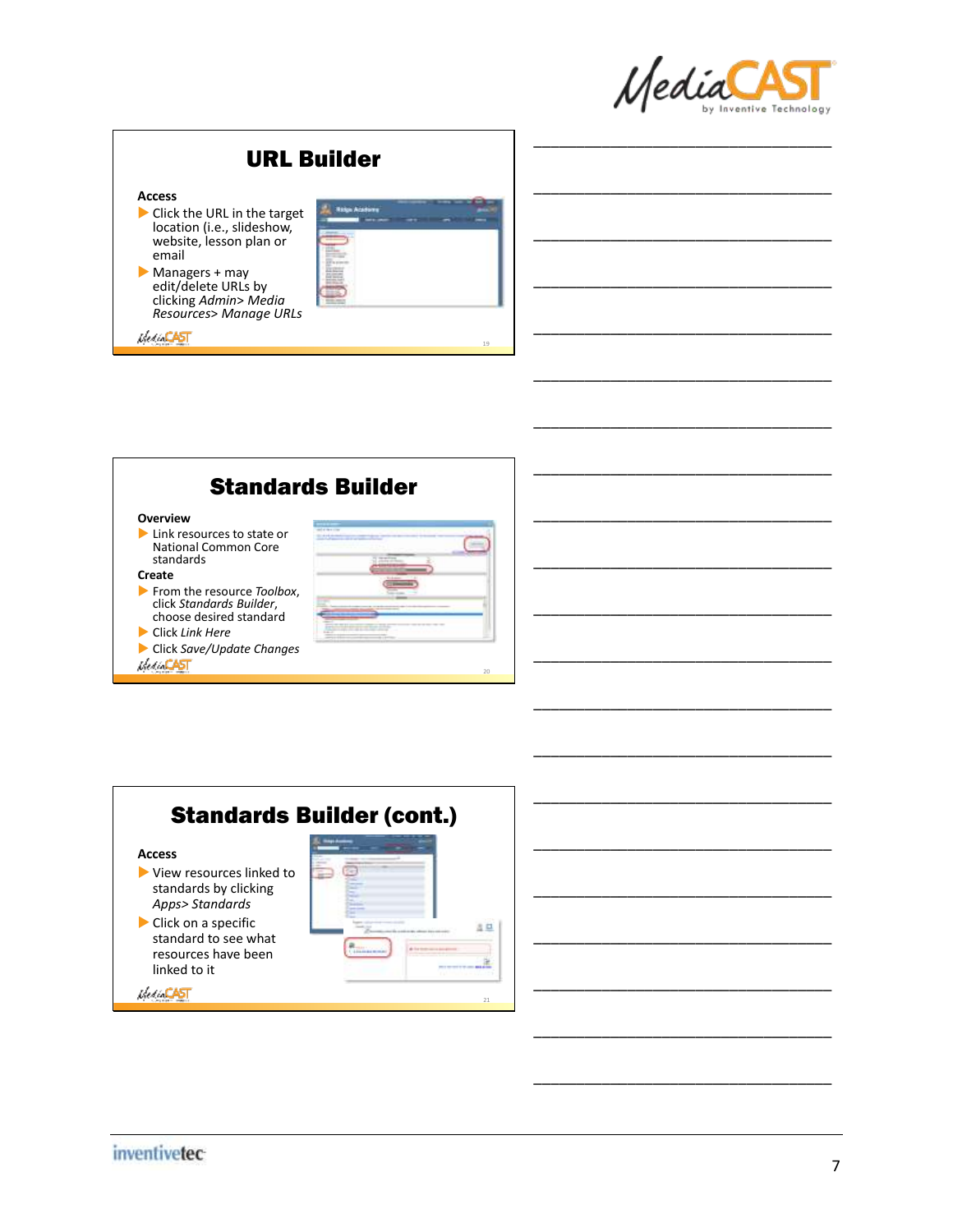

\_\_\_\_\_\_\_\_\_\_\_\_\_\_\_\_\_\_\_\_\_\_\_\_\_\_\_\_\_\_\_\_\_\_\_

\_\_\_\_\_\_\_\_\_\_\_\_\_\_\_\_\_\_\_\_\_\_\_\_\_\_\_\_\_\_\_\_\_\_\_

\_\_\_\_\_\_\_\_\_\_\_\_\_\_\_\_\_\_\_\_\_\_\_\_\_\_\_\_\_\_\_\_\_\_\_

\_\_\_\_\_\_\_\_\_\_\_\_\_\_\_\_\_\_\_\_\_\_\_\_\_\_\_\_\_\_\_\_\_\_\_

\_\_\_\_\_\_\_\_\_\_\_\_\_\_\_\_\_\_\_\_\_\_\_\_\_\_\_\_\_\_\_\_\_\_\_

\_\_\_\_\_\_\_\_\_\_\_\_\_\_\_\_\_\_\_\_\_\_\_\_\_\_\_\_\_\_\_\_\_\_\_

\_\_\_\_\_\_\_\_\_\_\_\_\_\_\_\_\_\_\_\_\_\_\_\_\_\_\_\_\_\_\_\_\_\_\_

\_\_\_\_\_\_\_\_\_\_\_\_\_\_\_\_\_\_\_\_\_\_\_\_\_\_\_\_\_\_\_\_\_\_\_





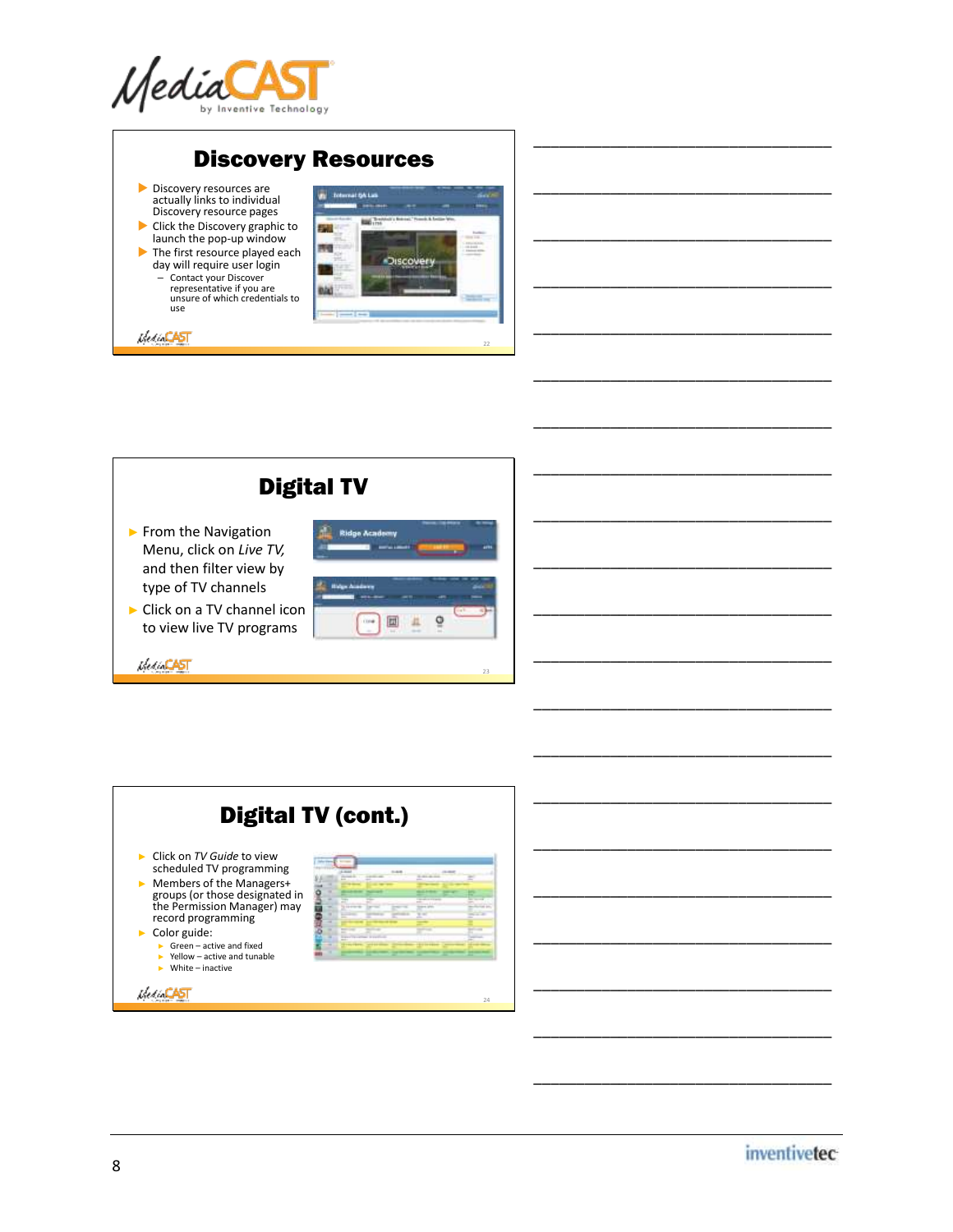









\_\_\_\_\_\_\_\_\_\_\_\_\_\_\_\_\_\_\_\_\_\_\_\_\_\_\_\_\_\_\_\_\_\_\_

\_\_\_\_\_\_\_\_\_\_\_\_\_\_\_\_\_\_\_\_\_\_\_\_\_\_\_\_\_\_\_\_\_\_\_

\_\_\_\_\_\_\_\_\_\_\_\_\_\_\_\_\_\_\_\_\_\_\_\_\_\_\_\_\_\_\_\_\_\_\_

\_\_\_\_\_\_\_\_\_\_\_\_\_\_\_\_\_\_\_\_\_\_\_\_\_\_\_\_\_\_\_\_\_\_\_

\_\_\_\_\_\_\_\_\_\_\_\_\_\_\_\_\_\_\_\_\_\_\_\_\_\_\_\_\_\_\_\_\_\_\_

\_\_\_\_\_\_\_\_\_\_\_\_\_\_\_\_\_\_\_\_\_\_\_\_\_\_\_\_\_\_\_\_\_\_\_

\_\_\_\_\_\_\_\_\_\_\_\_\_\_\_\_\_\_\_\_\_\_\_\_\_\_\_\_\_\_\_\_\_\_\_